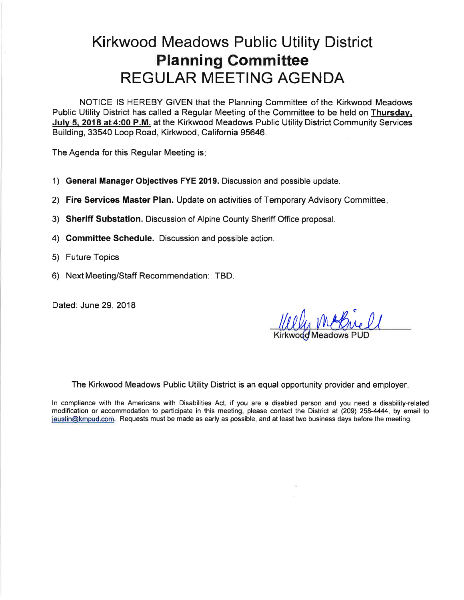## **Kirkwood Meadows Public Utility District Planning Committee REGULAR MEETING AGENDA**

NOTICE IS HEREBY GIVEN that the Planning Committee of the Kirkwood Meadows Public Utility District has called a Regular Meeting of the Committee to be held on Thursday, July 5, 2018 at 4:00 P.M. at the Kirkwood Meadows Public Utility District Community Services Building, 33540 Loop Road, Kirkwood, California 95646.

The Agenda for this Regular Meeting is:

- 1) General Manager Objectives FYE 2019. Discussion and possible update.
- 2) Fire Services Master Plan. Update on activities of Temporary Advisory Committee.
- 3) Sheriff Substation. Discussion of Alpine County Sheriff Office proposal.
- 4) Committee Schedule. Discussion and possible action.
- 5) Future Topics
- 6) Next Meeting/Staff Recommendation: TBD.

Dated: June 29, 2018

The Kirkwood Meadows Public Utility District is an equal opportunity provider and employer.

In compliance with the Americans with Disabilities Act, if you are a disabled person and you need a disability-related modification or accommodation to participate in this meeting, please contact the District at (209) 258-4444, by email to jaustin@kmpud.com. Requests must be made as early as possible, and at least two business days before the meeting.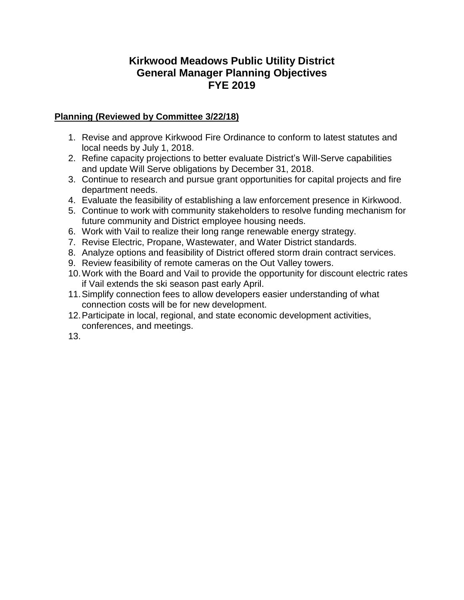### **Kirkwood Meadows Public Utility District General Manager Planning Objectives FYE 2019**

#### **Planning (Reviewed by Committee 3/22/18)**

- 1. Revise and approve Kirkwood Fire Ordinance to conform to latest statutes and local needs by July 1, 2018.
- 2. Refine capacity projections to better evaluate District's Will-Serve capabilities and update Will Serve obligations by December 31, 2018.
- 3. Continue to research and pursue grant opportunities for capital projects and fire department needs.
- 4. Evaluate the feasibility of establishing a law enforcement presence in Kirkwood.
- 5. Continue to work with community stakeholders to resolve funding mechanism for future community and District employee housing needs.
- 6. Work with Vail to realize their long range renewable energy strategy.
- 7. Revise Electric, Propane, Wastewater, and Water District standards.
- 8. Analyze options and feasibility of District offered storm drain contract services.
- 9. Review feasibility of remote cameras on the Out Valley towers.
- 10.Work with the Board and Vail to provide the opportunity for discount electric rates if Vail extends the ski season past early April.
- 11.Simplify connection fees to allow developers easier understanding of what connection costs will be for new development.
- 12.Participate in local, regional, and state economic development activities, conferences, and meetings.

13.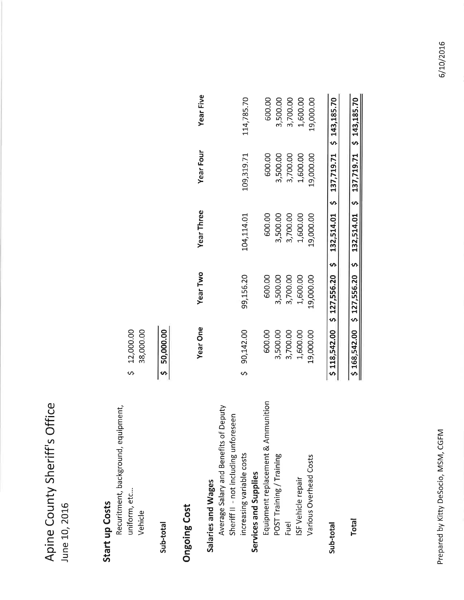Apine County Sheriff's Office June 10, 2016

# Start up Costs

| Recuritment, background, equipment,   |                 |                                        |                   |
|---------------------------------------|-----------------|----------------------------------------|-------------------|
| uniform, etc                          | \$12,000.00     |                                        |                   |
| Vehicle                               | 38,000.00       |                                        |                   |
| Sub-total                             | \$ 50,000.00    |                                        |                   |
| <b>Ongoing Cost</b>                   |                 |                                        |                   |
|                                       | <b>Year One</b> | <b>Year Two</b>                        | <b>Year Three</b> |
| Salaries and Wages                    |                 |                                        |                   |
| Average Salary and Benefits of Deputy |                 |                                        |                   |
| Sheriff II - not including unforeseen |                 |                                        |                   |
| increasing variable costs             | \$90,142.00     | 99,156.20                              | 104,114.01        |
| Services and Supplies                 |                 |                                        |                   |
| Equipment replacement & Ammunition    | 600.00          | 600.00                                 | 600.00            |
| POST Training / Training              | 3,500.00        | 3,500.00                               | 3,500.00          |
| Fuel                                  | 3,700.00        | 3,700.00                               | 3,700.00          |
| ISF Vehicle repair                    | 1,600.00        | 1,600.00                               | 1,600.00          |
| Various Overhead Costs                | 19,000.00       | 19,000.00                              | 19,000.00         |
|                                       |                 |                                        |                   |
| Sub-total                             |                 | \$118,542.00 \$127,556.20 \$132,514.01 |                   |
|                                       |                 |                                        |                   |

**Year Five** 

Year Four

3,500.00<br>3,700.00<br>1,600.00<br>19,000.00

1,600.00

19,000.00

3,700.00

 $$143,185.70$ 

137,719.71

 $\bullet$ 

 $$143,185.70$ 

137,719.71

 $\sim$ 

132,514.01

**S** 

\$127,556.20

 $5 168,542.00$ 

Total

600.00

600.00 3,500.00

114,785.70

109,319.71

Prepared by Kitty DeSocio, MSM, CGFM